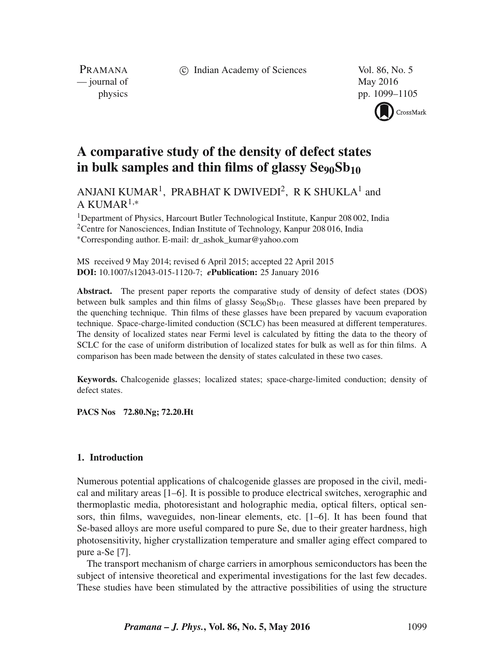c Indian Academy of Sciences Vol. 86, No. 5

PRAMANA — journal of May 2016

physics pp. 1099–1105

CrossMark

# **A comparative study of the density of defect states** in bulk samples and thin films of glassy Se<sub>90</sub>Sb<sub>10</sub>

ANJANI KUMAR<sup>1</sup>, PRABHAT K DWIVEDI<sup>2</sup>, R K SHUKLA<sup>1</sup> and A KUMAR<sup>1,\*</sup>

1Department of Physics, Harcourt Butler Technological Institute, Kanpur 208 002, India <sup>2</sup>Centre for Nanosciences, Indian Institute of Technology, Kanpur 208 016, India ∗Corresponding author. E-mail: dr\_ashok\_kumar@yahoo.com

MS received 9 May 2014; revised 6 April 2015; accepted 22 April 2015 **DOI:** 10.1007/s12043-015-1120-7; *e***Publication:** 25 January 2016

**Abstract.** The present paper reports the comparative study of density of defect states (DOS) between bulk samples and thin films of glassy  $Se_{90}Sb_{10}$ . These glasses have been prepared by the quenching technique. Thin films of these glasses have been prepared by vacuum evaporation technique. Space-charge-limited conduction (SCLC) has been measured at different temperatures. The density of localized states near Fermi level is calculated by fitting the data to the theory of SCLC for the case of uniform distribution of localized states for bulk as well as for thin films. A comparison has been made between the density of states calculated in these two cases.

**Keywords.** Chalcogenide glasses; localized states; space-charge-limited conduction; density of defect states.

**PACS Nos 72.80.Ng; 72.20.Ht**

#### **1. Introduction**

Numerous potential applications of chalcogenide glasses are proposed in the civil, medical and military areas [1–6]. It is possible to produce electrical switches, xerographic and thermoplastic media, photoresistant and holographic media, optical filters, optical sensors, thin films, waveguides, non-linear elements, etc. [1–6]. It has been found that Se-based alloys are more useful compared to pure Se, due to their greater hardness, high photosensitivity, higher crystallization temperature and smaller aging effect compared to pure a-Se [7].

The transport mechanism of charge carriers in amorphous semiconductors has been the subject of intensive theoretical and experimental investigations for the last few decades. These studies have been stimulated by the attractive possibilities of using the structure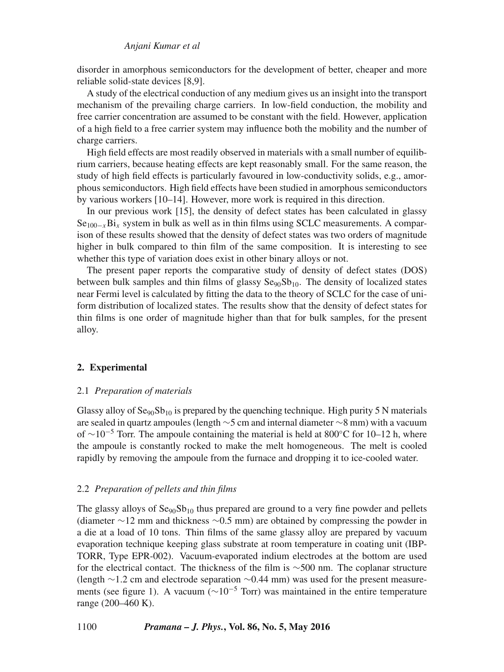#### *Anjani Kumar et al*

disorder in amorphous semiconductors for the development of better, cheaper and more reliable solid-state devices [8,9].

A study of the electrical conduction of any medium gives us an insight into the transport mechanism of the prevailing charge carriers. In low-field conduction, the mobility and free carrier concentration are assumed to be constant with the field. However, application of a high field to a free carrier system may influence both the mobility and the number of charge carriers.

High field effects are most readily observed in materials with a small number of equilibrium carriers, because heating effects are kept reasonably small. For the same reason, the study of high field effects is particularly favoured in low-conductivity solids, e.g., amorphous semiconductors. High field effects have been studied in amorphous semiconductors by various workers [10–14]. However, more work is required in this direction.

In our previous work [15], the density of defect states has been calculated in glassy  $Se<sub>100−x</sub>Bi<sub>x</sub>$  system in bulk as well as in thin films using SCLC measurements. A comparison of these results showed that the density of defect states was two orders of magnitude higher in bulk compared to thin film of the same composition. It is interesting to see whether this type of variation does exist in other binary alloys or not.

The present paper reports the comparative study of density of defect states (DOS) between bulk samples and thin films of glassy  $Se_{90}Sb_{10}$ . The density of localized states near Fermi level is calculated by fitting the data to the theory of SCLC for the case of uniform distribution of localized states. The results show that the density of defect states for thin films is one order of magnitude higher than that for bulk samples, for the present alloy.

## **2. Experimental**

#### 2.1 *Preparation of materials*

Glassy alloy of  ${\rm Se}_{90}{\rm Sb}_{10}$  is prepared by the quenching technique. High purity 5 N materials are sealed in quartz ampoules (length ∼5 cm and internal diameter ∼8 mm) with a vacuum of  $\sim$ 10<sup>-5</sup> Torr. The ampoule containing the material is held at 800°C for 10–12 h, where the ampoule is constantly rocked to make the melt homogeneous. The melt is cooled rapidly by removing the ampoule from the furnace and dropping it to ice-cooled water.

#### 2.2 *Preparation of pellets and thin films*

The glassy alloys of  $Se_{90}Sb_{10}$  thus prepared are ground to a very fine powder and pellets (diameter ∼12 mm and thickness ∼0.5 mm) are obtained by compressing the powder in a die at a load of 10 tons. Thin films of the same glassy alloy are prepared by vacuum evaporation technique keeping glass substrate at room temperature in coating unit (IBP-TORR, Type EPR-002). Vacuum-evaporated indium electrodes at the bottom are used for the electrical contact. The thickness of the film is ∼500 nm. The coplanar structure (length ∼1.2 cm and electrode separation ∼0.44 mm) was used for the present measurements (see figure 1). A vacuum ( $\sim 10^{-5}$  Torr) was maintained in the entire temperature range (200–460 K).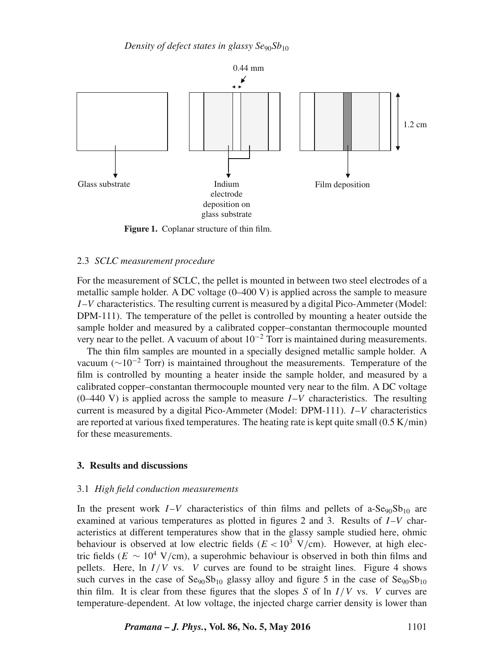

**Figure 1.** Coplanar structure of thin film.

#### 2.3 *SCLC measurement procedure*

For the measurement of SCLC, the pellet is mounted in between two steel electrodes of a metallic sample holder. A DC voltage (0–400 V) is applied across the sample to measure  $I-V$  characteristics. The resulting current is measured by a digital Pico-Ammeter (Model: DPM-111). The temperature of the pellet is controlled by mounting a heater outside the sample holder and measured by a calibrated copper–constantan thermocouple mounted very near to the pellet. A vacuum of about  $10^{-2}$  Torr is maintained during measurements.

The thin film samples are mounted in a specially designed metallic sample holder. A vacuum ( $\sim$ 10<sup>-2</sup> Torr) is maintained throughout the measurements. Temperature of the film is controlled by mounting a heater inside the sample holder, and measured by a calibrated copper–constantan thermocouple mounted very near to the film. A DC voltage  $(0-440 \text{ V})$  is applied across the sample to measure  $I-V$  characteristics. The resulting current is measured by a digital Pico-Ammeter (Model: DPM-111). I–V characteristics are reported at various fixed temperatures. The heating rate is kept quite small  $(0.5 \text{ K/min})$ for these measurements.

#### **3. Results and discussions**

#### 3.1 *High field conduction measurements*

In the present work  $I-V$  characteristics of thin films and pellets of a-Se<sub>90</sub>Sb<sub>10</sub> are examined at various temperatures as plotted in figures 2 and 3. Results of  $I-V$  characteristics at different temperatures show that in the glassy sample studied here, ohmic behaviour is observed at low electric fields  $(E < 10^3 \text{ V/cm})$ . However, at high electric fields ( $E \sim 10^4$  V/cm), a superohmic behaviour is observed in both thin films and pellets. Here, ln  $I/V$  vs. V curves are found to be straight lines. Figure 4 shows such curves in the case of  $\text{Se}_{90}\text{Sb}_{10}$  glassy alloy and figure 5 in the case of  $\text{Se}_{90}\text{Sb}_{10}$ thin film. It is clear from these figures that the slopes S of  $\ln I/V$  vs. V curves are temperature-dependent. At low voltage, the injected charge carrier density is lower than

*Pramana – J. Phys.***, Vol. 86, No. 5, May 2016** 1101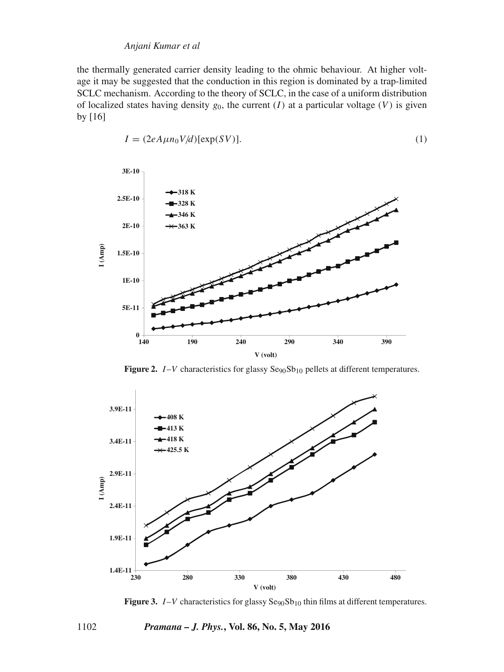#### *Anjani Kumar et al*

the thermally generated carrier density leading to the ohmic behaviour. At higher voltage it may be suggested that the conduction in this region is dominated by a trap-limited SCLC mechanism. According to the theory of SCLC, in the case of a uniform distribution of localized states having density  $g_0$ , the current  $(I)$  at a particular voltage  $(V)$  is given by [16]

$$
I = (2eA\mu n_0 V/d)[\exp(SV)].
$$
\n(1)



**Figure 2.**  $I-V$  characteristics for glassy  $Se_{90}Sb_{10}$  pellets at different temperatures.



**Figure 3.**  $I-V$  characteristics for glassy  $Se_{90}Sb_{10}$  thin films at different temperatures.

## 1102 *Pramana – J. Phys.***, Vol. 86, No. 5, May 2016**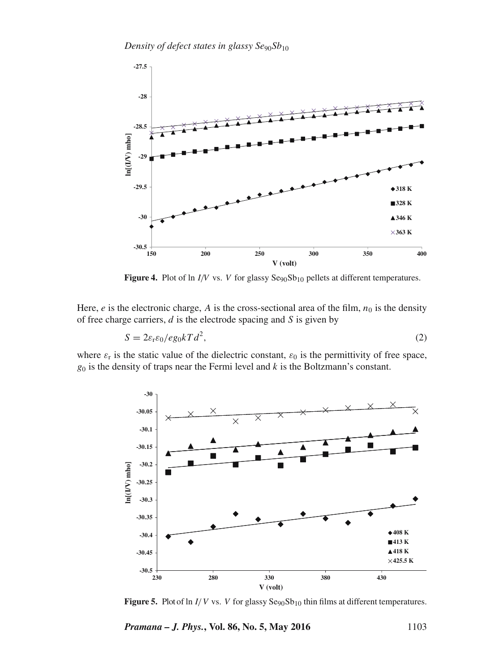*Density of defect states in glassy Se*90*Sb*<sup>10</sup>



**Figure 4.** Plot of ln  $I/V$  vs. V for glassy  $\text{Seg}_0\text{Sb}_{10}$  pellets at different temperatures.

Here, e is the electronic charge, A is the cross-sectional area of the film,  $n_0$  is the density of free charge carriers,  $d$  is the electrode spacing and  $S$  is given by

$$
S = 2\varepsilon_{\rm r}\varepsilon_0 / e g_0 kT d^2,\tag{2}
$$

where  $\varepsilon_r$  is the static value of the dielectric constant,  $\varepsilon_0$  is the permittivity of free space,  $g_0$  is the density of traps near the Fermi level and  $k$  is the Boltzmann's constant.



**Figure 5.** Plot of ln  $I/V$  vs. V for glassy  $\text{Seg}_0\text{Sb}_{10}$  thin films at different temperatures.

*Pramana – J. Phys.*, Vol. 86, No. 5, May 2016 1103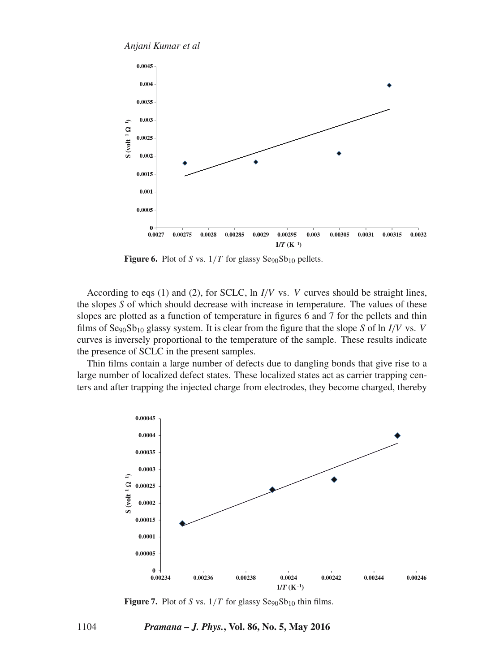*Anjani Kumar et al*



**Figure 6.** Plot of S vs.  $1/T$  for glassy  $\text{Seg}_0\text{Sb}_{10}$  pellets.

According to eqs (1) and (2), for SCLC, ln  $I/V$  vs. V curves should be straight lines, the slopes *S* of which should decrease with increase in temperature. The values of these slopes are plotted as a function of temperature in figures 6 and 7 for the pellets and thin films of  ${\rm Se}_{90}{\rm Sb}_{10}$  glassy system. It is clear from the figure that the slope S of ln I/V vs. V curves is inversely proportional to the temperature of the sample. These results indicate the presence of SCLC in the present samples.

Thin films contain a large number of defects due to dangling bonds that give rise to a large number of localized defect states. These localized states act as carrier trapping centers and after trapping the injected charge from electrodes, they become charged, thereby



**Figure 7.** Plot of S vs.  $1/T$  for glassy  $\text{Se}_{90}\text{Sb}_{10}$  thin films.